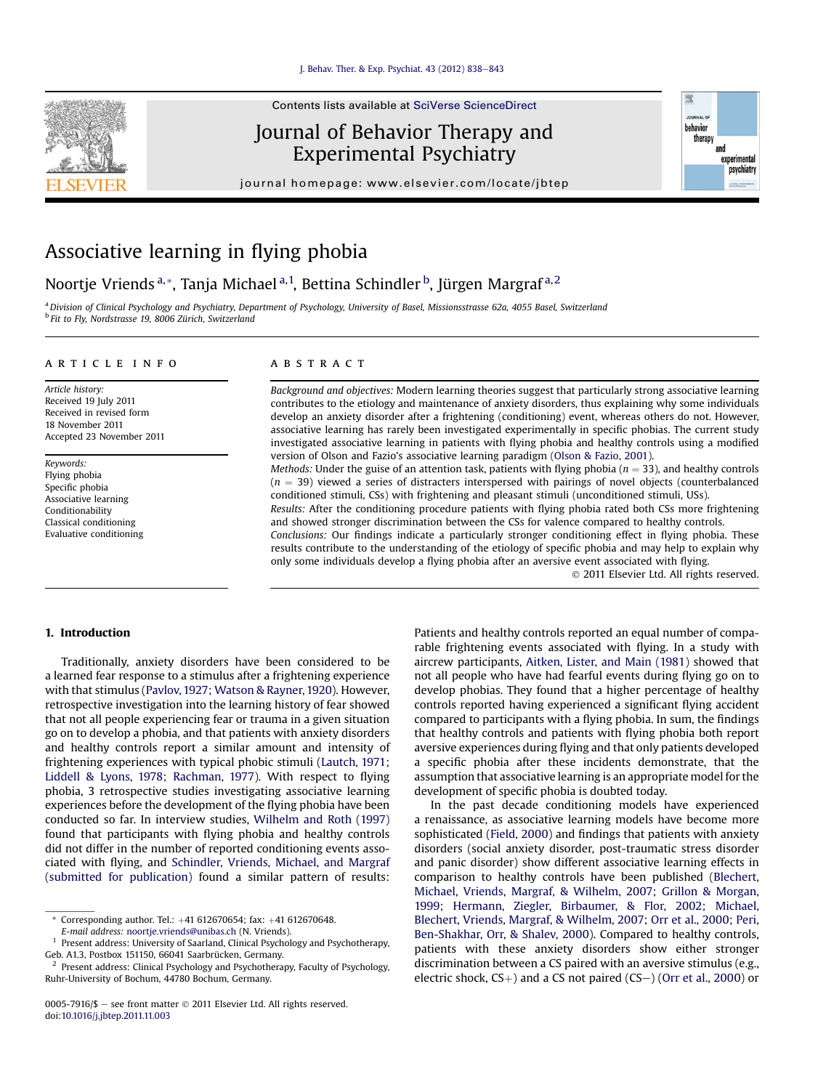

# Journal of Behavior Therapy and Experimental Psychiatry

journal homepage: [www.elsevier.com/locate/jbtep](http://www.elsevier.com/locate/jbtep)



# Associative learning in flying phobia

Noortje Vriends<sup>a,</sup>\*, Tanja Michael<sup>a,1</sup>, Bettina Schindler <sup>b</sup>, Jürgen Margraf<sup>a,2</sup>

a Division of Clinical Psychology and Psychiatry, Department of Psychology, University of Basel, Missionsstrasse 62a, 4055 Basel, Switzerland <sup>b</sup> Fit to Fly, Nordstrasse 19, 8006 Zürich, Switzerland

## article info

Article history: Received 19 July 2011 Received in revised form 18 November 2011 Accepted 23 November 2011

Keywords: Flying phobia Specific phobia Associative learning Conditionability Classical conditioning Evaluative conditioning

## ABSTRACT

Background and objectives: Modern learning theories suggest that particularly strong associative learning contributes to the etiology and maintenance of anxiety disorders, thus explaining why some individuals develop an anxiety disorder after a frightening (conditioning) event, whereas others do not. However, associative learning has rarely been investigated experimentally in specific phobias. The current study investigated associative learning in patients with flying phobia and healthy controls using a modified version of Olson and Fazio's associative learning paradigm ([Olson & Fazio, 2001](#page-5-0)).

*Methods:* Under the guise of an attention task, patients with flying phobia ( $n = 33$ ), and healthy controls  $(n = 39)$  viewed a series of distracters interspersed with pairings of novel objects (counterbalanced conditioned stimuli, CSs) with frightening and pleasant stimuli (unconditioned stimuli, USs).

Results: After the conditioning procedure patients with flying phobia rated both CSs more frightening and showed stronger discrimination between the CSs for valence compared to healthy controls.

Conclusions: Our findings indicate a particularly stronger conditioning effect in flying phobia. These results contribute to the understanding of the etiology of specific phobia and may help to explain why only some individuals develop a flying phobia after an aversive event associated with flying.

2011 Elsevier Ltd. All rights reserved.

# 1. Introduction

Traditionally, anxiety disorders have been considered to be a learned fear response to a stimulus after a frightening experience with that stimulus [\(Pavlov, 1927; Watson & Rayner, 1920\)](#page-5-0). However, retrospective investigation into the learning history of fear showed that not all people experiencing fear or trauma in a given situation go on to develop a phobia, and that patients with anxiety disorders and healthy controls report a similar amount and intensity of frightening experiences with typical phobic stimuli ([Lautch, 1971;](#page-5-0) [Liddell & Lyons, 1978; Rachman, 1977](#page-5-0)). With respect to flying phobia, 3 retrospective studies investigating associative learning experiences before the development of the flying phobia have been conducted so far. In interview studies, [Wilhelm and Roth \(1997\)](#page-5-0) found that participants with flying phobia and healthy controls did not differ in the number of reported conditioning events associated with flying, and [Schindler, Vriends, Michael, and Margraf](#page-5-0) [\(submitted for publication\)](#page-5-0) found a similar pattern of results:

\* Corresponding author. Tel.:  $+41$  612670654; fax:  $+41$  612670648. E-mail address: [noortje.vriends@unibas.ch](mailto:noortje.vriends@unibas.ch) (N. Vriends).

<sup>1</sup> Present address: University of Saarland, Clinical Psychology and Psychotherapy, Geb. A1.3, Postbox 151150, 66041 Saarbrücken, Germany.

Patients and healthy controls reported an equal number of comparable frightening events associated with flying. In a study with aircrew participants, [Aitken, Lister, and Main \(1981\)](#page-5-0) showed that not all people who have had fearful events during flying go on to develop phobias. They found that a higher percentage of healthy controls reported having experienced a significant flying accident compared to participants with a flying phobia. In sum, the findings that healthy controls and patients with flying phobia both report aversive experiences during flying and that only patients developed a specific phobia after these incidents demonstrate, that the assumption that associative learning is an appropriate model for the development of specific phobia is doubted today.

In the past decade conditioning models have experienced a renaissance, as associative learning models have become more sophisticated [\(Field, 2000](#page-5-0)) and findings that patients with anxiety disorders (social anxiety disorder, post-traumatic stress disorder and panic disorder) show different associative learning effects in comparison to healthy controls have been published ([Blechert,](#page-5-0) [Michael, Vriends, Margraf, & Wilhelm, 2007; Grillon & Morgan,](#page-5-0) [1999; Hermann, Ziegler, Birbaumer, & Flor, 2002; Michael,](#page-5-0) [Blechert, Vriends, Margraf, & Wilhelm, 2007; Orr et al., 2000; Peri,](#page-5-0) [Ben-Shakhar, Orr, & Shalev, 2000](#page-5-0)). Compared to healthy controls, patients with these anxiety disorders show either stronger discrimination between a CS paired with an aversive stimulus (e.g., electric shock,  $CS$ <sub>+</sub>) and a CS not paired ( $CS$ -) [\(Orr et al., 2000](#page-5-0)) or

Present address: Clinical Psychology and Psychotherapy, Faculty of Psychology, Ruhr-University of Bochum, 44780 Bochum, Germany.

<sup>0005-7916/\$ -</sup> see front matter  $\odot$  2011 Elsevier Ltd. All rights reserved. doi:[10.1016/j.jbtep.2011.11.003](http://dx.doi.org/10.1016/j.jbtep.2011.11.003)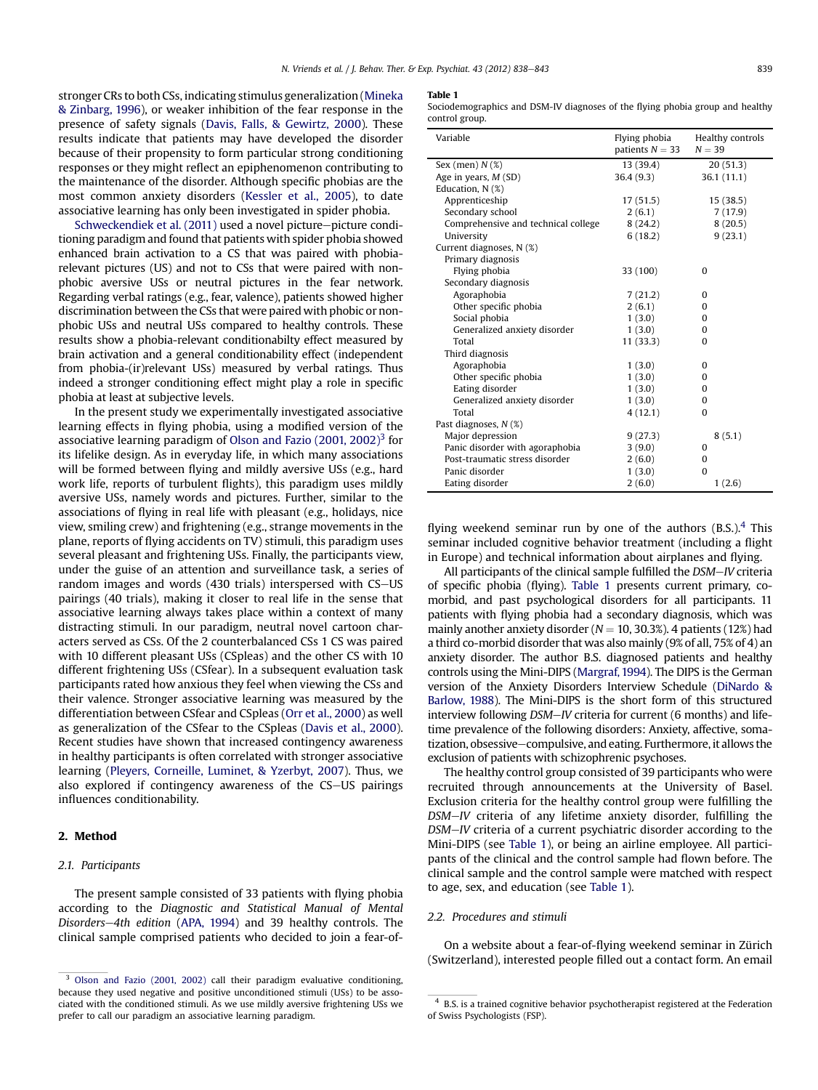stronger CRs to both CSs, indicating stimulus generalization [\(Mineka](#page-5-0) [& Zinbarg, 1996\)](#page-5-0), or weaker inhibition of the fear response in the presence of safety signals ([Davis, Falls, & Gewirtz, 2000\)](#page-5-0). These results indicate that patients may have developed the disorder because of their propensity to form particular strong conditioning responses or they might reflect an epiphenomenon contributing to the maintenance of the disorder. Although specific phobias are the most common anxiety disorders ([Kessler et al., 2005\)](#page-5-0), to date associative learning has only been investigated in spider phobia.

[Schweckendiek et al. \(2011\)](#page-5-0) used a novel picture-picture conditioning paradigm and found that patients with spider phobia showed enhanced brain activation to a CS that was paired with phobiarelevant pictures (US) and not to CSs that were paired with nonphobic aversive USs or neutral pictures in the fear network. Regarding verbal ratings (e.g., fear, valence), patients showed higher discrimination between the CSs that were paired with phobic or nonphobic USs and neutral USs compared to healthy controls. These results show a phobia-relevant conditionabilty effect measured by brain activation and a general conditionability effect (independent from phobia-(ir)relevant USs) measured by verbal ratings. Thus indeed a stronger conditioning effect might play a role in specific phobia at least at subjective levels.

In the present study we experimentally investigated associative learning effects in flying phobia, using a modified version of the associative learning paradigm of Olson and Fazio  $(2001, 2002)^3$  for its lifelike design. As in everyday life, in which many associations will be formed between flying and mildly aversive USs (e.g., hard work life, reports of turbulent flights), this paradigm uses mildly aversive USs, namely words and pictures. Further, similar to the associations of flying in real life with pleasant (e.g., holidays, nice view, smiling crew) and frightening (e.g., strange movements in the plane, reports of flying accidents on TV) stimuli, this paradigm uses several pleasant and frightening USs. Finally, the participants view, under the guise of an attention and surveillance task, a series of random images and words (430 trials) interspersed with CS-US pairings (40 trials), making it closer to real life in the sense that associative learning always takes place within a context of many distracting stimuli. In our paradigm, neutral novel cartoon characters served as CSs. Of the 2 counterbalanced CSs 1 CS was paired with 10 different pleasant USs (CSpleas) and the other CS with 10 different frightening USs (CSfear). In a subsequent evaluation task participants rated how anxious they feel when viewing the CSs and their valence. Stronger associative learning was measured by the differentiation between CSfear and CSpleas ([Orr et al., 2000](#page-5-0)) as well as generalization of the CSfear to the CSpleas [\(Davis et al., 2000\)](#page-5-0). Recent studies have shown that increased contingency awareness in healthy participants is often correlated with stronger associative learning [\(Pleyers, Corneille, Luminet, & Yzerbyt, 2007\)](#page-5-0). Thus, we also explored if contingency awareness of the CS-US pairings influences conditionability.

# 2. Method

## 2.1. Participants

The present sample consisted of 33 patients with flying phobia according to the Diagnostic and Statistical Manual of Mental Disorders-4th edition ([APA, 1994](#page-5-0)) and 39 healthy controls. The clinical sample comprised patients who decided to join a fear-of-

#### Table 1

Sociodemographics and DSM-IV diagnoses of the flying phobia group and healthy control group.

| Variable                            | Flying phobia<br>Healthy controls<br>patients $N = 33$<br>$N = 39$ |            |  |
|-------------------------------------|--------------------------------------------------------------------|------------|--|
| Sex (men) $N$ (%)                   | 13 (39.4)                                                          | 20(51.3)   |  |
| Age in years, $M(SD)$               | 36.4(9.3)                                                          | 36.1(11.1) |  |
| Education, N (%)                    |                                                                    |            |  |
| Apprenticeship                      | 17(51.5)                                                           | 15(38.5)   |  |
| Secondary school                    | 2(6.1)                                                             | 7(17.9)    |  |
| Comprehensive and technical college | 8(24.2)                                                            | 8(20.5)    |  |
| University                          | 6(18.2)                                                            | 9(23.1)    |  |
| Current diagnoses, N (%)            |                                                                    |            |  |
| Primary diagnosis                   |                                                                    |            |  |
| Flying phobia                       | 33 (100)                                                           | $\Omega$   |  |
| Secondary diagnosis                 |                                                                    |            |  |
| Agoraphobia                         | 7(21.2)                                                            | $\Omega$   |  |
| Other specific phobia               | 2(6.1)                                                             | $\Omega$   |  |
| Social phobia                       | 1(3.0)                                                             | $\Omega$   |  |
| Generalized anxiety disorder        | 1(3.0)                                                             | $\Omega$   |  |
| Total                               | 11 (33.3)                                                          | $\Omega$   |  |
| Third diagnosis                     |                                                                    |            |  |
| Agoraphobia                         | 1(3.0)                                                             | $\Omega$   |  |
| Other specific phobia               | 1(3.0)                                                             | $\Omega$   |  |
| Eating disorder                     | 1(3.0)                                                             | $\Omega$   |  |
| Generalized anxiety disorder        | 1(3.0)                                                             | 0          |  |
| Total                               | 4(12.1)                                                            | $\Omega$   |  |
| Past diagnoses, N (%)               |                                                                    |            |  |
| Major depression                    | 9(27.3)                                                            | 8(5.1)     |  |
| Panic disorder with agoraphobia     | 3(9.0)                                                             | 0          |  |
| Post-traumatic stress disorder      | 2(6.0)                                                             | $\Omega$   |  |
| Panic disorder                      | 1(3.0)                                                             | $\Omega$   |  |
| Eating disorder                     | 2(6.0)                                                             | 1(2.6)     |  |

flying weekend seminar run by one of the authors  $(B.S.)$ .<sup>4</sup> This seminar included cognitive behavior treatment (including a flight in Europe) and technical information about airplanes and flying.

All participants of the clinical sample fulfilled the DSM-IV criteria of specific phobia (flying). Table 1 presents current primary, comorbid, and past psychological disorders for all participants. 11 patients with flying phobia had a secondary diagnosis, which was mainly another anxiety disorder ( $N = 10, 30.3\%$ ). 4 patients (12%) had a third co-morbid disorder that was also mainly (9% of all, 75% of 4) an anxiety disorder. The author B.S. diagnosed patients and healthy controls using the Mini-DIPS [\(Margraf, 1994\)](#page-5-0). The DIPS is the German version of the Anxiety Disorders Interview Schedule [\(DiNardo &](#page-5-0) [Barlow, 1988\)](#page-5-0). The Mini-DIPS is the short form of this structured interview following  $DSM-N$  criteria for current (6 months) and lifetime prevalence of the following disorders: Anxiety, affective, somatization, obsessive-compulsive, and eating. Furthermore, it allows the exclusion of patients with schizophrenic psychoses.

The healthy control group consisted of 39 participants who were recruited through announcements at the University of Basel. Exclusion criteria for the healthy control group were fulfilling the DSM-IV criteria of any lifetime anxiety disorder, fulfilling the DSM-IV criteria of a current psychiatric disorder according to the Mini-DIPS (see Table 1), or being an airline employee. All participants of the clinical and the control sample had flown before. The clinical sample and the control sample were matched with respect to age, sex, and education (see Table 1).

#### 2.2. Procedures and stimuli

On a website about a fear-of-flying weekend seminar in Zürich (Switzerland), interested people filled out a contact form. An email

 $\overline{\hspace{1cm}3}$  [Olson and Fazio \(2001, 2002\)](#page-5-0) call their paradigm evaluative conditioning, because they used negative and positive unconditioned stimuli (USs) to be associated with the conditioned stimuli. As we use mildly aversive frightening USs we prefer to call our paradigm an associative learning paradigm.

<sup>4</sup> B.S. is a trained cognitive behavior psychotherapist registered at the Federation of Swiss Psychologists (FSP).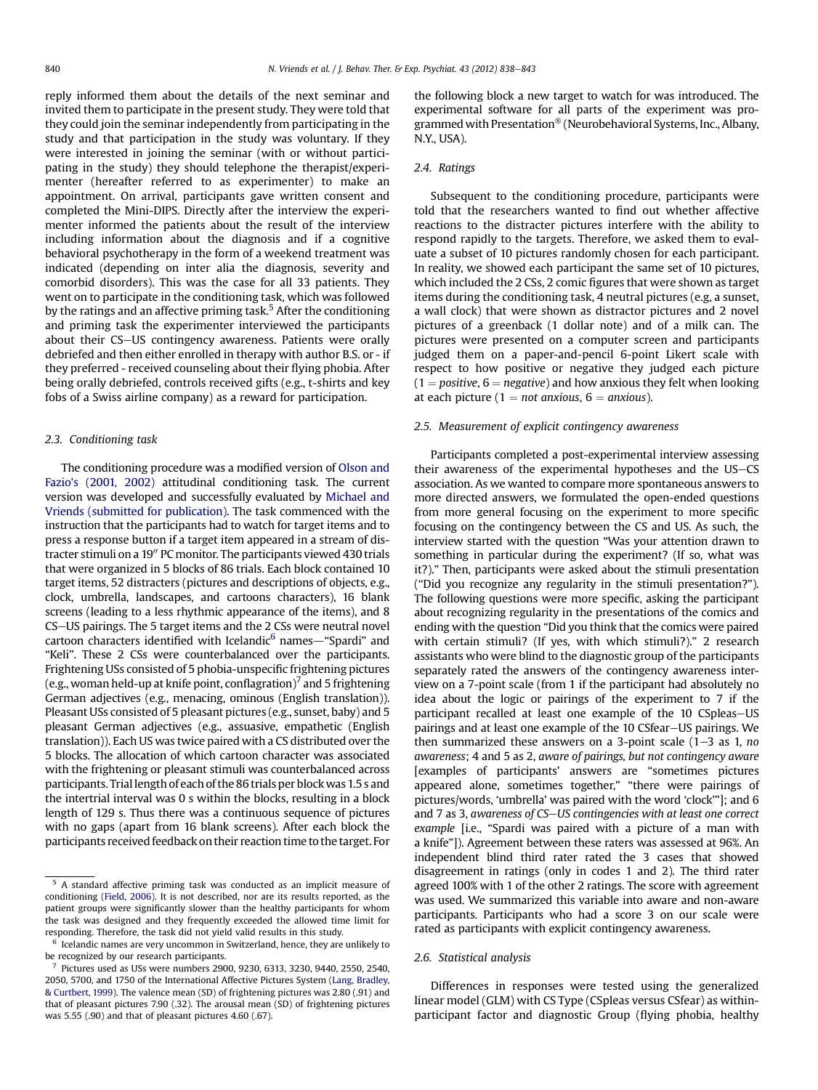reply informed them about the details of the next seminar and invited them to participate in the present study. They were told that they could join the seminar independently from participating in the study and that participation in the study was voluntary. If they were interested in joining the seminar (with or without participating in the study) they should telephone the therapist/experimenter (hereafter referred to as experimenter) to make an appointment. On arrival, participants gave written consent and completed the Mini-DIPS. Directly after the interview the experimenter informed the patients about the result of the interview including information about the diagnosis and if a cognitive behavioral psychotherapy in the form of a weekend treatment was indicated (depending on inter alia the diagnosis, severity and comorbid disorders). This was the case for all 33 patients. They went on to participate in the conditioning task, which was followed by the ratings and an affective priming task.<sup>5</sup> After the conditioning and priming task the experimenter interviewed the participants about their CS-US contingency awareness. Patients were orally debriefed and then either enrolled in therapy with author B.S. or - if they preferred - received counseling about their flying phobia. After being orally debriefed, controls received gifts (e.g., t-shirts and key fobs of a Swiss airline company) as a reward for participation.

## 2.3. Conditioning task

The conditioning procedure was a modified version of [Olson and](#page-5-0) Fazio'[s \(2001, 2002\)](#page-5-0) attitudinal conditioning task. The current version was developed and successfully evaluated by [Michael and](#page-5-0) [Vriends \(submitted for publication\)](#page-5-0). The task commenced with the instruction that the participants had to watch for target items and to press a response button if a target item appeared in a stream of distracter stimuli on a 19" PC monitor. The participants viewed 430 trials that were organized in 5 blocks of 86 trials. Each block contained 10 target items, 52 distracters (pictures and descriptions of objects, e.g., clock, umbrella, landscapes, and cartoons characters), 16 blank screens (leading to a less rhythmic appearance of the items), and 8 CS-US pairings. The 5 target items and the 2 CSs were neutral novel cartoon characters identified with Icelandic $<sup>6</sup>$  names—"Spardi" and</sup> "Keli". These 2 CSs were counterbalanced over the participants. Frightening USs consisted of 5 phobia-unspecific frightening pictures (e.g., woman held-up at knife point, conflagration)<sup>7</sup> and 5 frightening German adjectives (e.g., menacing, ominous (English translation)). Pleasant USs consisted of 5 pleasant pictures (e.g., sunset, baby) and 5 pleasant German adjectives (e.g., assuasive, empathetic (English translation)). Each US was twice paired with a CS distributed over the 5 blocks. The allocation of which cartoon character was associated with the frightening or pleasant stimuli was counterbalanced across participants. Triallength of each of the 86 trials per block was 1.5 s and the intertrial interval was 0 s within the blocks, resulting in a block length of 129 s. Thus there was a continuous sequence of pictures with no gaps (apart from 16 blank screens). After each block the participants received feedback on their reaction time to the target. For the following block a new target to watch for was introduced. The experimental software for all parts of the experiment was programmed with Presentation® (Neurobehavioral Systems, Inc., Albany, N.Y., USA).

## 2.4. Ratings

Subsequent to the conditioning procedure, participants were told that the researchers wanted to find out whether affective reactions to the distracter pictures interfere with the ability to respond rapidly to the targets. Therefore, we asked them to evaluate a subset of 10 pictures randomly chosen for each participant. In reality, we showed each participant the same set of 10 pictures, which included the 2 CSs, 2 comic figures that were shown as target items during the conditioning task, 4 neutral pictures (e.g, a sunset, a wall clock) that were shown as distractor pictures and 2 novel pictures of a greenback (1 dollar note) and of a milk can. The pictures were presented on a computer screen and participants judged them on a paper-and-pencil 6-point Likert scale with respect to how positive or negative they judged each picture  $(1 = positive, 6 = negative)$  and how anxious they felt when looking at each picture (1 = not anxious,  $6 =$  anxious).

#### 2.5. Measurement of explicit contingency awareness

Participants completed a post-experimental interview assessing their awareness of the experimental hypotheses and the US-CS association. As we wanted to compare more spontaneous answers to more directed answers, we formulated the open-ended questions from more general focusing on the experiment to more specific focusing on the contingency between the CS and US. As such, the interview started with the question "Was your attention drawn to something in particular during the experiment? (If so, what was it?)." Then, participants were asked about the stimuli presentation ("Did you recognize any regularity in the stimuli presentation?"). The following questions were more specific, asking the participant about recognizing regularity in the presentations of the comics and ending with the question "Did you think that the comics were paired with certain stimuli? (If yes, with which stimuli?)." 2 research assistants who were blind to the diagnostic group of the participants separately rated the answers of the contingency awareness interview on a 7-point scale (from 1 if the participant had absolutely no idea about the logic or pairings of the experiment to 7 if the participant recalled at least one example of the 10 CSpleas-US pairings and at least one example of the 10 CSfear-US pairings. We then summarized these answers on a 3-point scale  $(1-3$  as 1, no awareness; 4 and 5 as 2, aware of pairings, but not contingency aware [examples of participants' answers are "sometimes pictures appeared alone, sometimes together," "there were pairings of pictures/words, 'umbrella' was paired with the word 'clock'"]; and 6 and 7 as 3, awareness of CS-US contingencies with at least one correct example [i.e., "Spardi was paired with a picture of a man with a knife"]). Agreement between these raters was assessed at 96%. An independent blind third rater rated the 3 cases that showed disagreement in ratings (only in codes 1 and 2). The third rater agreed 100% with 1 of the other 2 ratings. The score with agreement was used. We summarized this variable into aware and non-aware participants. Participants who had a score 3 on our scale were rated as participants with explicit contingency awareness.

#### 2.6. Statistical analysis

Differences in responses were tested using the generalized linear model (GLM) with CS Type (CSpleas versus CSfear) as withinparticipant factor and diagnostic Group (flying phobia, healthy

<sup>&</sup>lt;sup>5</sup> A standard affective priming task was conducted as an implicit measure of conditioning [\(Field, 2006](#page-5-0)). It is not described, nor are its results reported, as the patient groups were significantly slower than the healthy participants for whom the task was designed and they frequently exceeded the allowed time limit for responding. Therefore, the task did not yield valid results in this study.

Icelandic names are very uncommon in Switzerland, hence, they are unlikely to be recognized by our research participants.

<sup>7</sup> Pictures used as USs were numbers 2900, 9230, 6313, 3230, 9440, 2550, 2540, 2050, 5700, and 1750 of the International Affective Pictures System [\(Lang, Bradley,](#page-5-0) [& Curtbert, 1999](#page-5-0)). The valence mean (SD) of frightening pictures was 2.80 (.91) and that of pleasant pictures 7.90 (.32). The arousal mean (SD) of frightening pictures was 5.55 (.90) and that of pleasant pictures 4.60 (.67).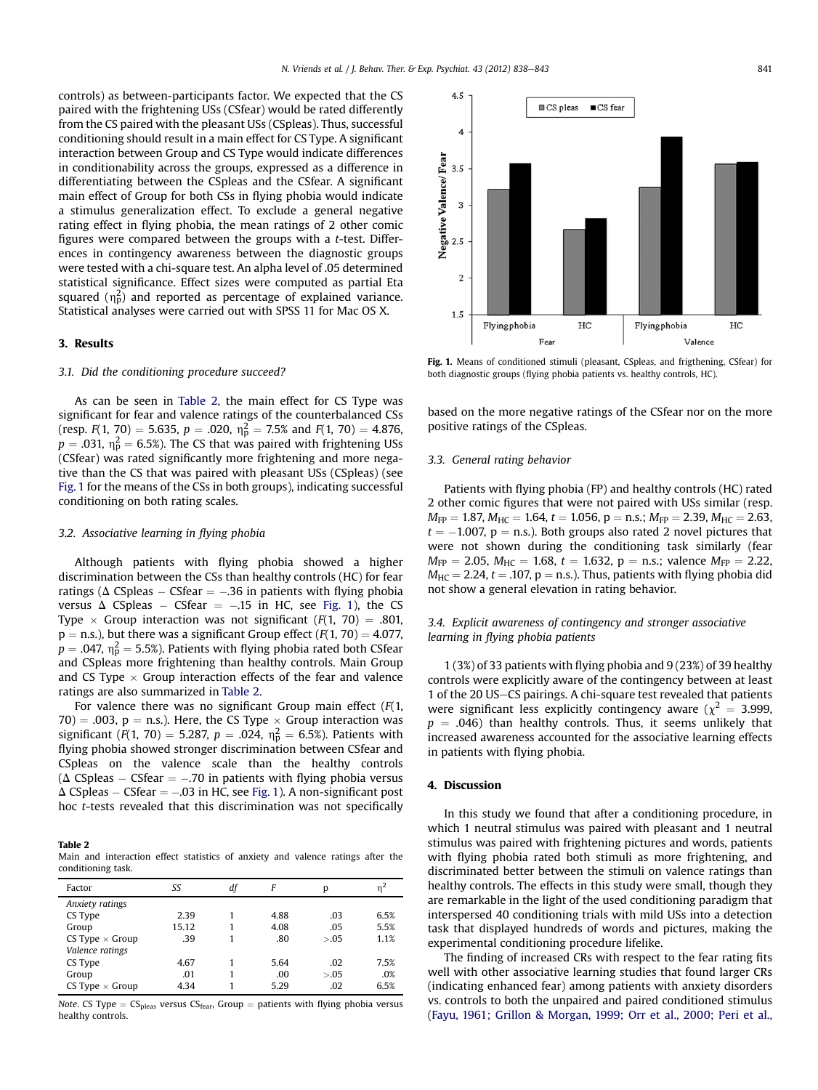4.5

controls) as between-participants factor. We expected that the CS paired with the frightening USs (CSfear) would be rated differently from the CS paired with the pleasant USs (CSpleas). Thus, successful conditioning should result in a main effect for CS Type. A significant interaction between Group and CS Type would indicate differences in conditionability across the groups, expressed as a difference in differentiating between the CSpleas and the CSfear. A significant main effect of Group for both CSs in flying phobia would indicate a stimulus generalization effect. To exclude a general negative rating effect in flying phobia, the mean ratings of 2 other comic figures were compared between the groups with a t-test. Differences in contingency awareness between the diagnostic groups were tested with a chi-square test. An alpha level of .05 determined statistical significance. Effect sizes were computed as partial Eta squared  $(\eta_{\rm p}^2)$  and reported as percentage of explained variance. Statistical analyses were carried out with SPSS 11 for Mac OS X.

#### 3. Results

#### 3.1. Did the conditioning procedure succeed?

As can be seen in Table 2, the main effect for CS Type was significant for fear and valence ratings of the counterbalanced CSs (resp.  $F(1, 70) = 5.635$ ,  $p = .020$ ,  $\eta_p^2 = 7.5\%$  and  $F(1, 70) = 4.876$ ,  $p = .031$ ,  $\eta_p^2 = 6.5\%$ ). The CS that was paired with frightening USs (CSfear) was rated significantly more frightening and more negative than the CS that was paired with pleasant USs (CSpleas) (see Fig. 1 for the means of the CSs in both groups), indicating successful conditioning on both rating scales.

#### 3.2. Associative learning in flying phobia

Although patients with flying phobia showed a higher discrimination between the CSs than healthy controls (HC) for fear ratings ( $\Delta$  CSpleas – CSfear = -.36 in patients with flying phobia versus  $\Delta$  CSpleas – CSfear = -.15 in HC, see Fig. 1), the CS Type  $\times$  Group interaction was not significant (F(1, 70) = .801,  $p =$  n.s.), but there was a significant Group effect ( $F(1, 70) = 4.077$ ,  $p = .047$ ,  $\eta_p^2 = 5.5\%$ ). Patients with flying phobia rated both CSfear and CSpleas more frightening than healthy controls. Main Group and CS Type  $\times$  Group interaction effects of the fear and valence ratings are also summarized in Table 2.

For valence there was no significant Group main effect  $(F(1,$ 70) = .003,  $p = n.s.$ ). Here, the CS Type  $\times$  Group interaction was significant (F(1, 70) = 5.287,  $p = .024$ ,  $\eta_{p}^{2} = 6.5$ %). Patients with flying phobia showed stronger discrimination between CSfear and CSpleas on the valence scale than the healthy controls  $(\Delta \text{ CSpleas} - \text{CSfear} = -.70 \text{ in patients with flying phobia versus}$  $\Delta$  CSpleas – CSfear = -0.03 in HC, see Fig. 1). A non-significant post hoc t-tests revealed that this discrimination was not specifically

Table 2

Main and interaction effect statistics of anxiety and valence ratings after the conditioning task.

| Factor                 | SS    | df | F    | p      |      |
|------------------------|-------|----|------|--------|------|
| Anxiety ratings        |       |    |      |        |      |
| CS Type                | 2.39  |    | 4.88 | .03    | 6.5% |
| Group                  | 15.12 |    | 4.08 | .05    | 5.5% |
| CS Type $\times$ Group | .39   |    | .80  | > 0.05 | 1.1% |
| Valence ratings        |       |    |      |        |      |
| CS Type                | 4.67  |    | 5.64 | .02    | 7.5% |
| Group                  | .01   |    | .00  | > 0.05 | .0%  |
| CS Type $\times$ Group | 4.34  |    | 5.29 | .02    | 6.5% |

*Note.* CS Type =  $CS_{\text{peas}}$  versus  $CS_{\text{fear}}$ , Group = patients with flying phobia versus healthy controls.



 $\blacksquare$  CS fear

Fig. 1. Means of conditioned stimuli (pleasant, CSpleas, and frigthening, CSfear) for both diagnostic groups (flying phobia patients vs. healthy controls, HC).

based on the more negative ratings of the CSfear nor on the more positive ratings of the CSpleas.

#### 3.3. General rating behavior

Patients with flying phobia (FP) and healthy controls (HC) rated 2 other comic figures that were not paired with USs similar (resp.  $M_{FP} = 1.87$ ,  $M_{HC} = 1.64$ ,  $t = 1.056$ ,  $p = n.s.;$   $M_{FP} = 2.39,$   $M_{HC} = 2.63$ ,  $t = -1.007$ ,  $p =$  n.s.). Both groups also rated 2 novel pictures that were not shown during the conditioning task similarly (fear  $M_{FP} = 2.05$ ,  $M_{HC} = 1.68$ ,  $t = 1.632$ ,  $p = n.s.$ ; valence  $M_{FP} = 2.22$ ,  $M_{HC} = 2.24$ ,  $t = .107$ ,  $p = n.s.$ ). Thus, patients with flying phobia did not show a general elevation in rating behavior.

## 3.4. Explicit awareness of contingency and stronger associative learning in flying phobia patients

1 (3%) of 33 patients with flying phobia and 9 (23%) of 39 healthy controls were explicitly aware of the contingency between at least 1 of the 20 US-CS pairings. A chi-square test revealed that patients were significant less explicitly contingency aware ( $\chi^2 = 3.999$ ,  $p = .046$ ) than healthy controls. Thus, it seems unlikely that increased awareness accounted for the associative learning effects in patients with flying phobia.

### 4. Discussion

In this study we found that after a conditioning procedure, in which 1 neutral stimulus was paired with pleasant and 1 neutral stimulus was paired with frightening pictures and words, patients with flying phobia rated both stimuli as more frightening, and discriminated better between the stimuli on valence ratings than healthy controls. The effects in this study were small, though they are remarkable in the light of the used conditioning paradigm that interspersed 40 conditioning trials with mild USs into a detection task that displayed hundreds of words and pictures, making the experimental conditioning procedure lifelike.

The finding of increased CRs with respect to the fear rating fits well with other associative learning studies that found larger CRs (indicating enhanced fear) among patients with anxiety disorders vs. controls to both the unpaired and paired conditioned stimulus ([Fayu, 1961; Grillon & Morgan, 1999; Orr et al., 2000; Peri et al.,](#page-5-0)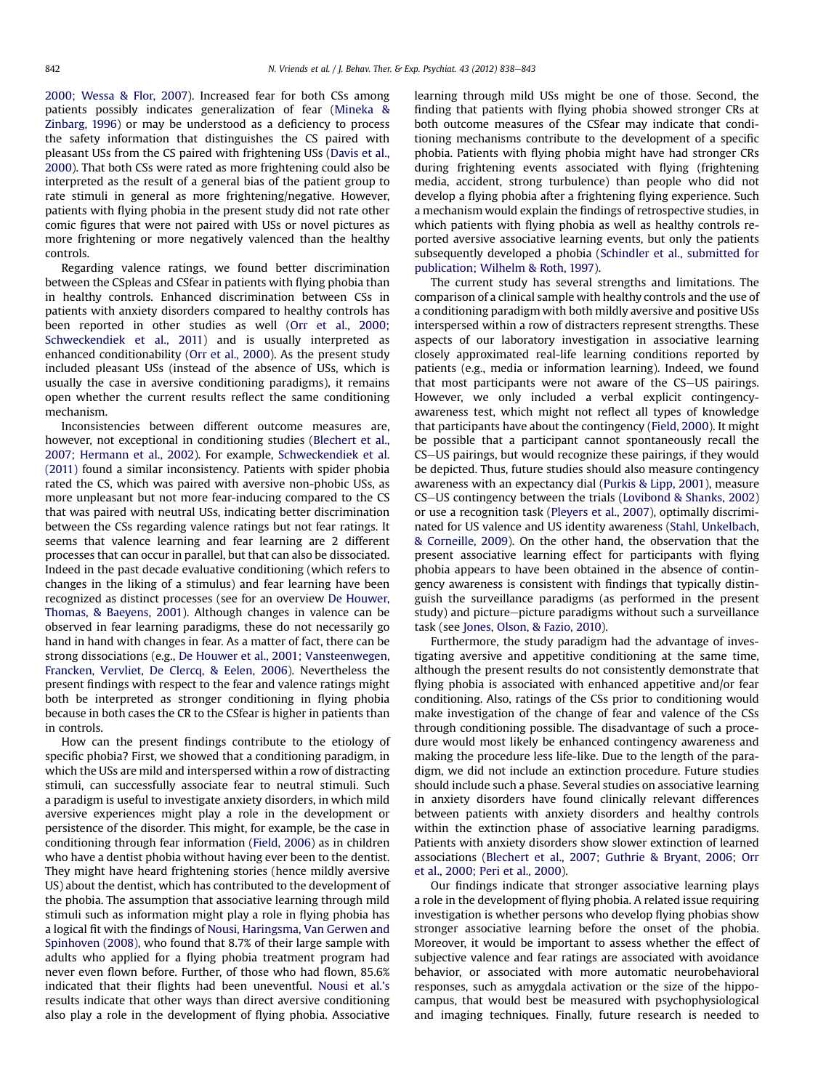[2000; Wessa & Flor, 2007\)](#page-5-0). Increased fear for both CSs among patients possibly indicates generalization of fear ([Mineka &](#page-5-0) [Zinbarg, 1996](#page-5-0)) or may be understood as a deficiency to process the safety information that distinguishes the CS paired with pleasant USs from the CS paired with frightening USs ([Davis et al.,](#page-5-0) [2000](#page-5-0)). That both CSs were rated as more frightening could also be interpreted as the result of a general bias of the patient group to rate stimuli in general as more frightening/negative. However, patients with flying phobia in the present study did not rate other comic figures that were not paired with USs or novel pictures as more frightening or more negatively valenced than the healthy controls.

Regarding valence ratings, we found better discrimination between the CSpleas and CSfear in patients with flying phobia than in healthy controls. Enhanced discrimination between CSs in patients with anxiety disorders compared to healthy controls has been reported in other studies as well [\(Orr et al., 2000;](#page-5-0) [Schweckendiek et al., 2011\)](#page-5-0) and is usually interpreted as enhanced conditionability [\(Orr et al., 2000](#page-5-0)). As the present study included pleasant USs (instead of the absence of USs, which is usually the case in aversive conditioning paradigms), it remains open whether the current results reflect the same conditioning mechanism.

Inconsistencies between different outcome measures are, however, not exceptional in conditioning studies [\(Blechert et al.,](#page-5-0) [2007; Hermann et al., 2002](#page-5-0)). For example, [Schweckendiek et al.](#page-5-0) [\(2011\)](#page-5-0) found a similar inconsistency. Patients with spider phobia rated the CS, which was paired with aversive non-phobic USs, as more unpleasant but not more fear-inducing compared to the CS that was paired with neutral USs, indicating better discrimination between the CSs regarding valence ratings but not fear ratings. It seems that valence learning and fear learning are 2 different processes that can occur in parallel, but that can also be dissociated. Indeed in the past decade evaluative conditioning (which refers to changes in the liking of a stimulus) and fear learning have been recognized as distinct processes (see for an overview [De Houwer,](#page-5-0) [Thomas, & Baeyens, 2001\)](#page-5-0). Although changes in valence can be observed in fear learning paradigms, these do not necessarily go hand in hand with changes in fear. As a matter of fact, there can be strong dissociations (e.g., [De Houwer et al., 2001; Vansteenwegen,](#page-5-0) [Francken, Vervliet, De Clercq, & Eelen, 2006](#page-5-0)). Nevertheless the present findings with respect to the fear and valence ratings might both be interpreted as stronger conditioning in flying phobia because in both cases the CR to the CSfear is higher in patients than in controls.

How can the present findings contribute to the etiology of specific phobia? First, we showed that a conditioning paradigm, in which the USs are mild and interspersed within a row of distracting stimuli, can successfully associate fear to neutral stimuli. Such a paradigm is useful to investigate anxiety disorders, in which mild aversive experiences might play a role in the development or persistence of the disorder. This might, for example, be the case in conditioning through fear information [\(Field, 2006](#page-5-0)) as in children who have a dentist phobia without having ever been to the dentist. They might have heard frightening stories (hence mildly aversive US) about the dentist, which has contributed to the development of the phobia. The assumption that associative learning through mild stimuli such as information might play a role in flying phobia has a logical fit with the findings of [Nousi, Haringsma, Van Gerwen and](#page-5-0) [Spinhoven \(2008\)](#page-5-0), who found that 8.7% of their large sample with adults who applied for a flying phobia treatment program had never even flown before. Further, of those who had flown, 85.6% indicated that their flights had been uneventful. [Nousi et al.](#page-5-0)'s results indicate that other ways than direct aversive conditioning also play a role in the development of flying phobia. Associative learning through mild USs might be one of those. Second, the finding that patients with flying phobia showed stronger CRs at both outcome measures of the CSfear may indicate that conditioning mechanisms contribute to the development of a specific phobia. Patients with flying phobia might have had stronger CRs during frightening events associated with flying (frightening media, accident, strong turbulence) than people who did not develop a flying phobia after a frightening flying experience. Such a mechanism would explain the findings of retrospective studies, in which patients with flying phobia as well as healthy controls reported aversive associative learning events, but only the patients subsequently developed a phobia [\(Schindler et al., submitted for](#page-5-0) [publication; Wilhelm & Roth, 1997\)](#page-5-0).

The current study has several strengths and limitations. The comparison of a clinical sample with healthy controls and the use of a conditioning paradigm with both mildly aversive and positive USs interspersed within a row of distracters represent strengths. These aspects of our laboratory investigation in associative learning closely approximated real-life learning conditions reported by patients (e.g., media or information learning). Indeed, we found that most participants were not aware of the CS-US pairings. However, we only included a verbal explicit contingencyawareness test, which might not reflect all types of knowledge that participants have about the contingency ([Field, 2000](#page-5-0)). It might be possible that a participant cannot spontaneously recall the CS-US pairings, but would recognize these pairings, if they would be depicted. Thus, future studies should also measure contingency awareness with an expectancy dial ([Purkis & Lipp, 2001](#page-5-0)), measure CS-US contingency between the trials ([Lovibond & Shanks, 2002\)](#page-5-0) or use a recognition task [\(Pleyers et al., 2007\)](#page-5-0), optimally discriminated for US valence and US identity awareness [\(Stahl, Unkelbach,](#page-5-0) [& Corneille, 2009\)](#page-5-0). On the other hand, the observation that the present associative learning effect for participants with flying phobia appears to have been obtained in the absence of contingency awareness is consistent with findings that typically distinguish the surveillance paradigms (as performed in the present study) and picture-picture paradigms without such a surveillance task (see [Jones, Olson, & Fazio, 2010\)](#page-5-0).

Furthermore, the study paradigm had the advantage of investigating aversive and appetitive conditioning at the same time, although the present results do not consistently demonstrate that flying phobia is associated with enhanced appetitive and/or fear conditioning. Also, ratings of the CSs prior to conditioning would make investigation of the change of fear and valence of the CSs through conditioning possible. The disadvantage of such a procedure would most likely be enhanced contingency awareness and making the procedure less life-like. Due to the length of the paradigm, we did not include an extinction procedure. Future studies should include such a phase. Several studies on associative learning in anxiety disorders have found clinically relevant differences between patients with anxiety disorders and healthy controls within the extinction phase of associative learning paradigms. Patients with anxiety disorders show slower extinction of learned associations [\(Blechert et al., 2007; Guthrie & Bryant, 2006; Orr](#page-5-0) [et al., 2000; Peri et al., 2000\)](#page-5-0).

Our findings indicate that stronger associative learning plays a role in the development of flying phobia. A related issue requiring investigation is whether persons who develop flying phobias show stronger associative learning before the onset of the phobia. Moreover, it would be important to assess whether the effect of subjective valence and fear ratings are associated with avoidance behavior, or associated with more automatic neurobehavioral responses, such as amygdala activation or the size of the hippocampus, that would best be measured with psychophysiological and imaging techniques. Finally, future research is needed to